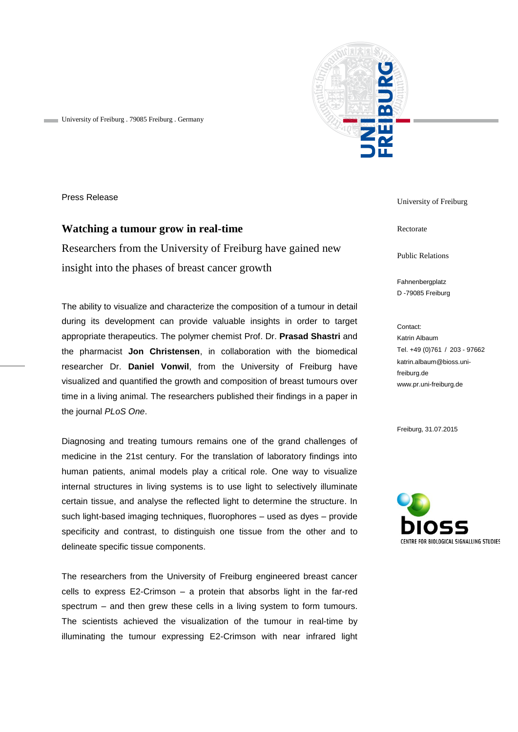

University of Freiburg . 79085 Freiburg . Germany

Press Release

## **Watching a tumour grow in real-time**

Researchers from the University of Freiburg have gained new insight into the phases of breast cancer growth

The ability to visualize and characterize the composition of a tumour in detail during its development can provide valuable insights in order to target appropriate therapeutics. The polymer chemist Prof. Dr. **Prasad Shastri** and the pharmacist **Jon Christensen**, in collaboration with the biomedical researcher Dr. **Daniel Vonwil**, from the University of Freiburg have visualized and quantified the growth and composition of breast tumours over time in a living animal. The researchers published their findings in a paper in the journal *PLoS One*.

Diagnosing and treating tumours remains one of the grand challenges of medicine in the 21st century. For the translation of laboratory findings into human patients, animal models play a critical role. One way to visualize internal structures in living systems is to use light to selectively illuminate certain tissue, and analyse the reflected light to determine the structure. In such light-based imaging techniques, fluorophores – used as dyes – provide specificity and contrast, to distinguish one tissue from the other and to delineate specific tissue components.

The researchers from the University of Freiburg engineered breast cancer cells to express E2-Crimson – a protein that absorbs light in the far-red spectrum – and then grew these cells in a living system to form tumours. The scientists achieved the visualization of the tumour in real-time by illuminating the tumour expressing E2-Crimson with near infrared light University of Freiburg

Rectorate

Public Relations

Fahnenbergplatz D -79085 Freiburg

Contact: Katrin Albaum Tel. +49 (0)761 / 203 - 97662 katrin.albaum@bioss.unifreiburg.de www.pr.uni-freiburg.de

Freiburg, 31.07.2015

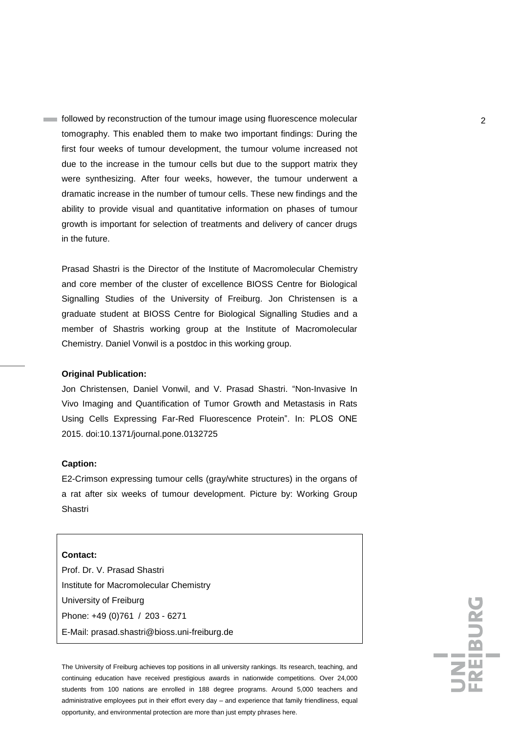followed by reconstruction of the tumour image using fluorescence molecular 2 tomography. This enabled them to make two important findings: During the first four weeks of tumour development, the tumour volume increased not due to the increase in the tumour cells but due to the support matrix they were synthesizing. After four weeks, however, the tumour underwent a dramatic increase in the number of tumour cells. These new findings and the ability to provide visual and quantitative information on phases of tumour growth is important for selection of treatments and delivery of cancer drugs in the future.

Prasad Shastri is the Director of the Institute of Macromolecular Chemistry and core member of the cluster of excellence BIOSS Centre for Biological Signalling Studies of the University of Freiburg. Jon Christensen is a graduate student at BIOSS Centre for Biological Signalling Studies and a member of Shastris working group at the Institute of Macromolecular Chemistry. Daniel Vonwil is a postdoc in this working group.

## **Original Publication:**

Jon Christensen, Daniel Vonwil, and V. Prasad Shastri. "Non-Invasive In Vivo Imaging and Quantification of Tumor Growth and Metastasis in Rats Using Cells Expressing Far-Red Fluorescence Protein". In: PLOS ONE 2015. doi:10.1371/journal.pone.0132725

## **Caption:**

E2-Crimson expressing tumour cells (gray/white structures) in the organs of a rat after six weeks of tumour development. Picture by: Working Group Shastri

## **Contact:**

Prof. Dr. V. Prasad Shastri Institute for Macromolecular Chemistry University of Freiburg Phone: +49 (0)761 / 203 - 6271 E-Mail: [prasad.shastri@bioss.uni-freiburg.de](mailto:prasad.shastri@bioss.uni-freiburg.de)

The University of Freiburg achieves top positions in all university rankings. Its research, teaching, and continuing education have received prestigious awards in nationwide competitions. Over 24,000 students from 100 nations are enrolled in 188 degree programs. Around 5,000 teachers and administrative employees put in their effort every day – and experience that family friendliness, equal opportunity, and environmental protection are more than just empty phrases here.